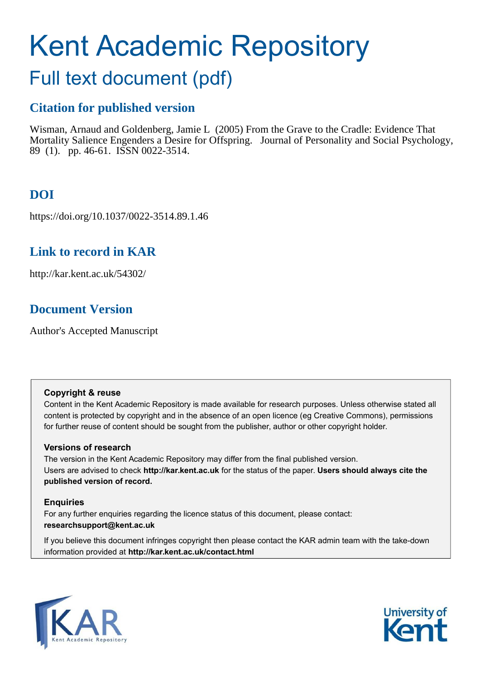# Kent Academic Repository

## Full text document (pdf)

## **Citation for published version**

Wisman, Arnaud and Goldenberg, Jamie L (2005) From the Grave to the Cradle: Evidence That Mortality Salience Engenders a Desire for Offspring. Journal of Personality and Social Psychology, 89 (1). pp. 46-61. ISSN 0022-3514.

## **DOI**

https://doi.org/10.1037/0022-3514.89.1.46

## **Link to record in KAR**

http://kar.kent.ac.uk/54302/

## **Document Version**

Author's Accepted Manuscript

#### **Copyright & reuse**

Content in the Kent Academic Repository is made available for research purposes. Unless otherwise stated all content is protected by copyright and in the absence of an open licence (eg Creative Commons), permissions for further reuse of content should be sought from the publisher, author or other copyright holder.

#### **Versions of research**

The version in the Kent Academic Repository may differ from the final published version. Users are advised to check **http://kar.kent.ac.uk** for the status of the paper. **Users should always cite the published version of record.**

#### **Enquiries**

For any further enquiries regarding the licence status of this document, please contact: **researchsupport@kent.ac.uk**

If you believe this document infringes copyright then please contact the KAR admin team with the take-down information provided at **http://kar.kent.ac.uk/contact.html**



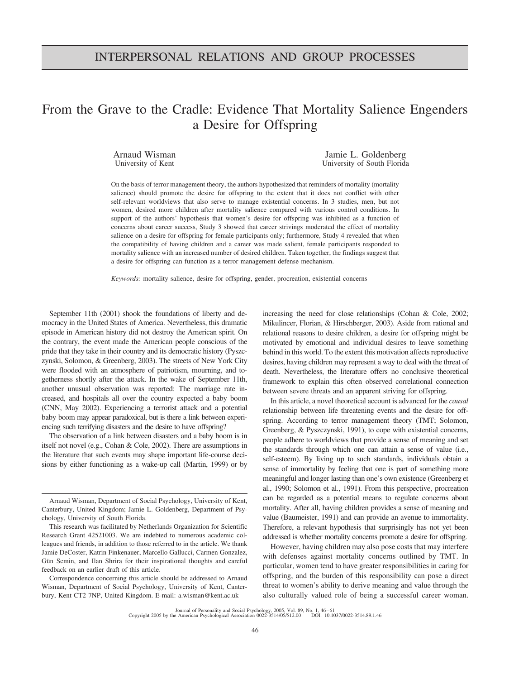### From the Grave to the Cradle: Evidence That Mortality Salience Engenders a Desire for Offspring

Arnaud Wisman University of Kent

Jamie L. Goldenberg University of South Florida

On the basis of terror management theory, the authors hypothesized that reminders of mortality (mortality salience) should promote the desire for offspring to the extent that it does not conflict with other self-relevant worldviews that also serve to manage existential concerns. In 3 studies, men, but not women, desired more children after mortality salience compared with various control conditions. In support of the authors' hypothesis that women's desire for offspring was inhibited as a function of concerns about career success, Study 3 showed that career strivings moderated the effect of mortality salience on a desire for offspring for female participants only; furthermore, Study 4 revealed that when the compatibility of having children and a career was made salient, female participants responded to mortality salience with an increased number of desired children. Taken together, the findings suggest that a desire for offspring can function as a terror management defense mechanism.

*Keywords:* mortality salience, desire for offspring, gender, procreation, existential concerns

September 11th (2001) shook the foundations of liberty and democracy in the United States of America. Nevertheless, this dramatic episode in American history did not destroy the American spirit. On the contrary, the event made the American people conscious of the pride that they take in their country and its democratic history (Pyszczynski, Solomon, & Greenberg, 2003). The streets of New York City were flooded with an atmosphere of patriotism, mourning, and togetherness shortly after the attack. In the wake of September 11th, another unusual observation was reported: The marriage rate increased, and hospitals all over the country expected a baby boom (CNN, May 2002). Experiencing a terrorist attack and a potential baby boom may appear paradoxical, but is there a link between experiencing such terrifying disasters and the desire to have offspring?

The observation of a link between disasters and a baby boom is in itself not novel (e.g., Cohan & Cole, 2002). There are assumptions in the literature that such events may shape important life-course decisions by either functioning as a wake-up call (Martin, 1999) or by

Correspondence concerning this article should be addressed to Arnaud Wisman, Department of Social Psychology, University of Kent, Canterbury, Kent CT2 7NP, United Kingdom. E-mail: a.wisman@kent.ac.uk

increasing the need for close relationships (Cohan & Cole, 2002; Mikulincer, Florian, & Hirschberger, 2003). Aside from rational and relational reasons to desire children, a desire for offspring might be motivated by emotional and individual desires to leave something behind in this world. To the extent this motivation affects reproductive desires, having children may represent a way to deal with the threat of death. Nevertheless, the literature offers no conclusive theoretical framework to explain this often observed correlational connection between severe threats and an apparent striving for offspring.

In this article, a novel theoretical account is advanced for the *causal* relationship between life threatening events and the desire for offspring. According to terror management theory (TMT; Solomon, Greenberg, & Pyszczynski, 1991), to cope with existential concerns, people adhere to worldviews that provide a sense of meaning and set the standards through which one can attain a sense of value (i.e., self-esteem). By living up to such standards, individuals obtain a sense of immortality by feeling that one is part of something more meaningful and longer lasting than one's own existence (Greenberg et al., 1990; Solomon et al., 1991). From this perspective, procreation can be regarded as a potential means to regulate concerns about mortality. After all, having children provides a sense of meaning and value (Baumeister, 1991) and can provide an avenue to immortality. Therefore, a relevant hypothesis that surprisingly has not yet been addressed is whether mortality concerns promote a desire for offspring.

However, having children may also pose costs that may interfere with defenses against mortality concerns outlined by TMT. In particular, women tend to have greater responsibilities in caring for offspring, and the burden of this responsibility can pose a direct threat to women's ability to derive meaning and value through the also culturally valued role of being a successful career woman.

Journal of Personality and Social Psychology, 2005, Vol. 89, No. 1, 46–61 Copyright 2005 by the American Psychological Association 0022-3514/05/\$12.00 DOI: 10.1037/0022-3514.89.1.46

Arnaud Wisman, Department of Social Psychology, University of Kent, Canterbury, United Kingdom; Jamie L. Goldenberg, Department of Psychology, University of South Florida.

This research was facilitated by Netherlands Organization for Scientific Research Grant 42521003. We are indebted to numerous academic colleagues and friends, in addition to those referred to in the article. We thank Jamie DeCoster, Katrin Finkenauer, Marcello Gallucci, Carmen Gonzalez, Gün Semin, and Ilan Shrira for their inspirational thoughts and careful feedback on an earlier draft of this article.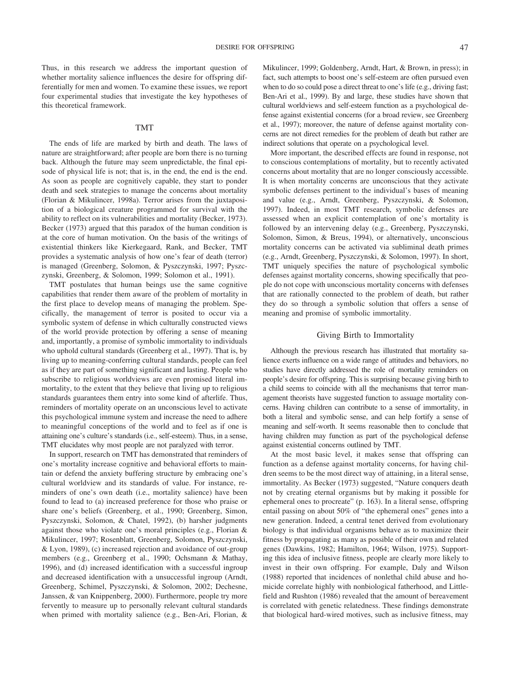Thus, in this research we address the important question of whether mortality salience influences the desire for offspring differentially for men and women. To examine these issues, we report four experimental studies that investigate the key hypotheses of this theoretical framework.

#### TMT

The ends of life are marked by birth and death. The laws of nature are straightforward; after people are born there is no turning back. Although the future may seem unpredictable, the final episode of physical life is not; that is, in the end, the end is the end. As soon as people are cognitively capable, they start to ponder death and seek strategies to manage the concerns about mortality (Florian & Mikulincer, 1998a). Terror arises from the juxtaposition of a biological creature programmed for survival with the ability to reflect on its vulnerabilities and mortality (Becker, 1973). Becker (1973) argued that this paradox of the human condition is at the core of human motivation. On the basis of the writings of existential thinkers like Kierkegaard, Rank, and Becker, TMT provides a systematic analysis of how one's fear of death (terror) is managed (Greenberg, Solomon, & Pyszczynski, 1997; Pyszczynski, Greenberg, & Solomon, 1999; Solomon et al., 1991).

TMT postulates that human beings use the same cognitive capabilities that render them aware of the problem of mortality in the first place to develop means of managing the problem. Specifically, the management of terror is posited to occur via a symbolic system of defense in which culturally constructed views of the world provide protection by offering a sense of meaning and, importantly, a promise of symbolic immortality to individuals who uphold cultural standards (Greenberg et al., 1997). That is, by living up to meaning-conferring cultural standards, people can feel as if they are part of something significant and lasting. People who subscribe to religious worldviews are even promised literal immortality, to the extent that they believe that living up to religious standards guarantees them entry into some kind of afterlife. Thus, reminders of mortality operate on an unconscious level to activate this psychological immune system and increase the need to adhere to meaningful conceptions of the world and to feel as if one is attaining one's culture's standards (i.e., self-esteem). Thus, in a sense, TMT elucidates why most people are not paralyzed with terror.

In support, research on TMT has demonstrated that reminders of one's mortality increase cognitive and behavioral efforts to maintain or defend the anxiety buffering structure by embracing one's cultural worldview and its standards of value. For instance, reminders of one's own death (i.e., mortality salience) have been found to lead to (a) increased preference for those who praise or share one's beliefs (Greenberg, et al., 1990; Greenberg, Simon, Pyszczynski, Solomon, & Chatel, 1992), (b) harsher judgments against those who violate one's moral principles (e.g., Florian & Mikulincer, 1997; Rosenblatt, Greenberg, Solomon, Pyszczynski, & Lyon, 1989), (c) increased rejection and avoidance of out-group members (e.g., Greenberg et al., 1990; Ochsmann & Mathay, 1996), and (d) increased identification with a successful ingroup and decreased identification with a unsuccessful ingroup (Arndt, Greenberg, Schimel, Pyszczynski, & Solomon, 2002; Dechesne, Janssen, & van Knippenberg, 2000). Furthermore, people try more fervently to measure up to personally relevant cultural standards when primed with mortality salience (e.g., Ben-Ari, Florian, &

Mikulincer, 1999; Goldenberg, Arndt, Hart, & Brown, in press); in fact, such attempts to boost one's self-esteem are often pursued even when to do so could pose a direct threat to one's life (e.g., driving fast; Ben-Ari et al., 1999). By and large, these studies have shown that cultural worldviews and self-esteem function as a psychological defense against existential concerns (for a broad review, see Greenberg et al., 1997); moreover, the nature of defense against mortality concerns are not direct remedies for the problem of death but rather are indirect solutions that operate on a psychological level.

More important, the described effects are found in response, not to conscious contemplations of mortality, but to recently activated concerns about mortality that are no longer consciously accessible. It is when mortality concerns are unconscious that they activate symbolic defenses pertinent to the individual's bases of meaning and value (e.g., Arndt, Greenberg, Pyszczynski, & Solomon, 1997). Indeed, in most TMT research, symbolic defenses are assessed when an explicit contemplation of one's mortality is followed by an intervening delay (e.g., Greenberg, Pyszczynski, Solomon, Simon, & Breus, 1994), or alternatively, unconscious mortality concerns can be activated via subliminal death primes (e.g., Arndt, Greenberg, Pyszczynski, & Solomon, 1997). In short, TMT uniquely specifies the nature of psychological symbolic defenses against mortality concerns, showing specifically that people do not cope with unconscious mortality concerns with defenses that are rationally connected to the problem of death, but rather they do so through a symbolic solution that offers a sense of meaning and promise of symbolic immortality.

#### Giving Birth to Immortality

Although the previous research has illustrated that mortality salience exerts influence on a wide range of attitudes and behaviors, no studies have directly addressed the role of mortality reminders on people's desire for offspring. This is surprising because giving birth to a child seems to coincide with all the mechanisms that terror management theorists have suggested function to assuage mortality concerns. Having children can contribute to a sense of immortality, in both a literal and symbolic sense, and can help fortify a sense of meaning and self-worth. It seems reasonable then to conclude that having children may function as part of the psychological defense against existential concerns outlined by TMT.

At the most basic level, it makes sense that offspring can function as a defense against mortality concerns, for having children seems to be the most direct way of attaining, in a literal sense, immortality. As Becker (1973) suggested, "Nature conquers death not by creating eternal organisms but by making it possible for ephemeral ones to procreate" (p. 163). In a literal sense, offspring entail passing on about 50% of "the ephemeral ones" genes into a new generation. Indeed, a central tenet derived from evolutionary biology is that individual organisms behave as to maximize their fitness by propagating as many as possible of their own and related genes (Dawkins, 1982; Hamilton, 1964; Wilson, 1975). Supporting this idea of inclusive fitness, people are clearly more likely to invest in their own offspring. For example, Daly and Wilson (1988) reported that incidences of nonlethal child abuse and homicide correlate highly with nonbiological fatherhood, and Littlefield and Rushton (1986) revealed that the amount of bereavement is correlated with genetic relatedness. These findings demonstrate that biological hard-wired motives, such as inclusive fitness, may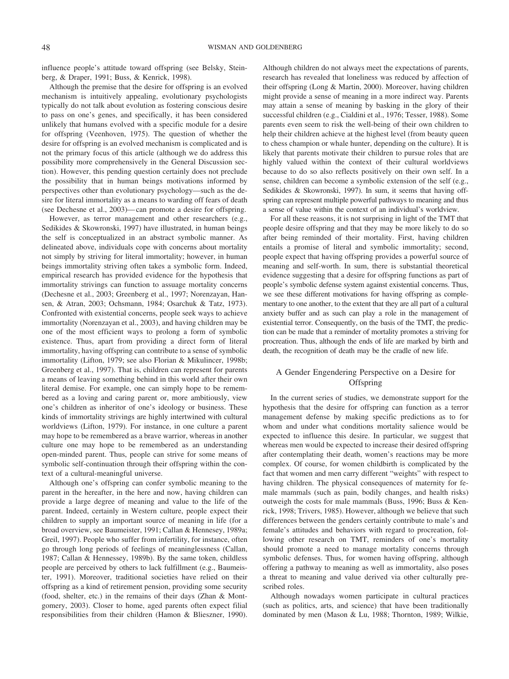influence people's attitude toward offspring (see Belsky, Steinberg, & Draper, 1991; Buss, & Kenrick, 1998).

Although the premise that the desire for offspring is an evolved mechanism is intuitively appealing, evolutionary psychologists typically do not talk about evolution as fostering conscious desire to pass on one's genes, and specifically, it has been considered unlikely that humans evolved with a specific module for a desire for offspring (Veenhoven, 1975). The question of whether the desire for offspring is an evolved mechanism is complicated and is not the primary focus of this article (although we do address this possibility more comprehensively in the General Discussion section). However, this pending question certainly does not preclude the possibility that in human beings motivations informed by perspectives other than evolutionary psychology—such as the desire for literal immortality as a means to warding off fears of death (see Dechesne et al., 2003)—can promote a desire for offspring.

However, as terror management and other researchers (e.g., Sedikides & Skowronski, 1997) have illustrated, in human beings the self is conceptualized in an abstract symbolic manner. As delineated above, individuals cope with concerns about mortality not simply by striving for literal immortality; however, in human beings immortality striving often takes a symbolic form. Indeed, empirical research has provided evidence for the hypothesis that immortality strivings can function to assuage mortality concerns (Dechesne et al., 2003; Greenberg et al., 1997; Norenzayan, Hansen, & Atran, 2003; Ochsmann, 1984; Osarchuk & Tatz, 1973). Confronted with existential concerns, people seek ways to achieve immortality (Norenzayan et al., 2003), and having children may be one of the most efficient ways to prolong a form of symbolic existence. Thus, apart from providing a direct form of literal immortality, having offspring can contribute to a sense of symbolic immortality (Lifton, 1979; see also Florian & Mikulincer, 1998b; Greenberg et al., 1997). That is, children can represent for parents a means of leaving something behind in this world after their own literal demise. For example, one can simply hope to be remembered as a loving and caring parent or, more ambitiously, view one's children as inheritor of one's ideology or business. These kinds of immortality strivings are highly intertwined with cultural worldviews (Lifton, 1979). For instance, in one culture a parent may hope to be remembered as a brave warrior, whereas in another culture one may hope to be remembered as an understanding open-minded parent. Thus, people can strive for some means of symbolic self-continuation through their offspring within the context of a cultural-meaningful universe.

Although one's offspring can confer symbolic meaning to the parent in the hereafter, in the here and now, having children can provide a large degree of meaning and value to the life of the parent. Indeed, certainly in Western culture, people expect their children to supply an important source of meaning in life (for a broad overview, see Baumeister, 1991; Callan & Hennesey, 1989a; Greil, 1997). People who suffer from infertility, for instance, often go through long periods of feelings of meaninglessness (Callan, 1987; Callan & Hennessey, 1989b). By the same token, childless people are perceived by others to lack fulfillment (e.g., Baumeister, 1991). Moreover, traditional societies have relied on their offspring as a kind of retirement pension, providing some security (food, shelter, etc.) in the remains of their days (Zhan & Montgomery, 2003). Closer to home, aged parents often expect filial responsibilities from their children (Hamon & Blieszner, 1990).

Although children do not always meet the expectations of parents, research has revealed that loneliness was reduced by affection of their offspring (Long & Martin, 2000). Moreover, having children might provide a sense of meaning in a more indirect way. Parents may attain a sense of meaning by basking in the glory of their successful children (e.g., Cialdini et al., 1976; Tesser, 1988). Some parents even seem to risk the well-being of their own children to help their children achieve at the highest level (from beauty queen to chess champion or whale hunter, depending on the culture). It is likely that parents motivate their children to pursue roles that are highly valued within the context of their cultural worldviews because to do so also reflects positively on their own self. In a sense, children can become a symbolic extension of the self (e.g., Sedikides & Skowronski, 1997). In sum, it seems that having offspring can represent multiple powerful pathways to meaning and thus a sense of value within the context of an individual's worldview.

For all these reasons, it is not surprising in light of the TMT that people desire offspring and that they may be more likely to do so after being reminded of their mortality. First, having children entails a promise of literal and symbolic immortality; second, people expect that having offspring provides a powerful source of meaning and self-worth. In sum, there is substantial theoretical evidence suggesting that a desire for offspring functions as part of people's symbolic defense system against existential concerns. Thus, we see these different motivations for having offspring as complementary to one another, to the extent that they are all part of a cultural anxiety buffer and as such can play a role in the management of existential terror. Consequently, on the basis of the TMT, the prediction can be made that a reminder of mortality promotes a striving for procreation. Thus, although the ends of life are marked by birth and death, the recognition of death may be the cradle of new life.

#### A Gender Engendering Perspective on a Desire for **Offspring**

In the current series of studies, we demonstrate support for the hypothesis that the desire for offspring can function as a terror management defense by making specific predictions as to for whom and under what conditions mortality salience would be expected to influence this desire. In particular, we suggest that whereas men would be expected to increase their desired offspring after contemplating their death, women's reactions may be more complex. Of course, for women childbirth is complicated by the fact that women and men carry different "weights" with respect to having children. The physical consequences of maternity for female mammals (such as pain, bodily changes, and health risks) outweigh the costs for male mammals (Buss, 1996; Buss & Kenrick, 1998; Trivers, 1985). However, although we believe that such differences between the genders certainly contribute to male's and female's attitudes and behaviors with regard to procreation, following other research on TMT, reminders of one's mortality should promote a need to manage mortality concerns through symbolic defenses. Thus, for women having offspring, although offering a pathway to meaning as well as immortality, also poses a threat to meaning and value derived via other culturally prescribed roles.

Although nowadays women participate in cultural practices (such as politics, arts, and science) that have been traditionally dominated by men (Mason & Lu, 1988; Thornton, 1989; Wilkie,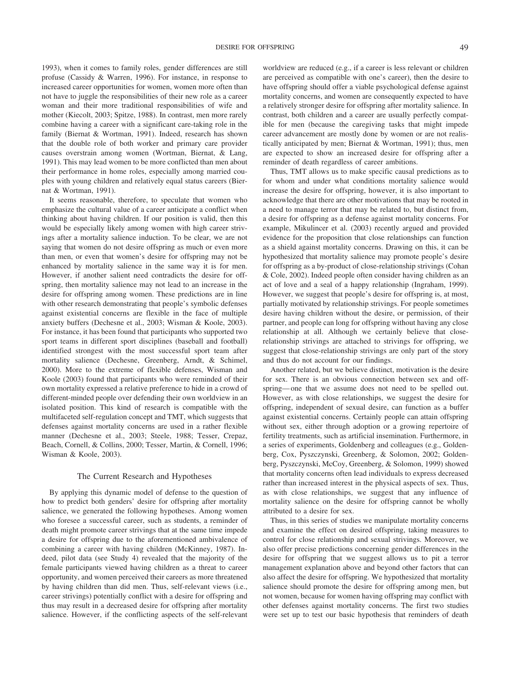1993), when it comes to family roles, gender differences are still profuse (Cassidy & Warren, 1996). For instance, in response to increased career opportunities for women, women more often than not have to juggle the responsibilities of their new role as a career woman and their more traditional responsibilities of wife and mother (Kiecolt, 2003; Spitze, 1988). In contrast, men more rarely combine having a career with a significant care-taking role in the family (Biernat & Wortman, 1991). Indeed, research has shown that the double role of both worker and primary care provider causes overstrain among women (Wortman, Biernat, & Lang, 1991). This may lead women to be more conflicted than men about their performance in home roles, especially among married couples with young children and relatively equal status careers (Biernat & Wortman, 1991).

It seems reasonable, therefore, to speculate that women who emphasize the cultural value of a career anticipate a conflict when thinking about having children. If our position is valid, then this would be especially likely among women with high career strivings after a mortality salience induction. To be clear, we are not saying that women do not desire offspring as much or even more than men, or even that women's desire for offspring may not be enhanced by mortality salience in the same way it is for men. However, if another salient need contradicts the desire for offspring, then mortality salience may not lead to an increase in the desire for offspring among women. These predictions are in line with other research demonstrating that people's symbolic defenses against existential concerns are flexible in the face of multiple anxiety buffers (Dechesne et al., 2003; Wisman & Koole, 2003). For instance, it has been found that participants who supported two sport teams in different sport disciplines (baseball and football) identified strongest with the most successful sport team after mortality salience (Dechesne, Greenberg, Arndt, & Schimel, 2000). More to the extreme of flexible defenses, Wisman and Koole (2003) found that participants who were reminded of their own mortality expressed a relative preference to hide in a crowd of different-minded people over defending their own worldview in an isolated position. This kind of research is compatible with the multifaceted self-regulation concept and TMT, which suggests that defenses against mortality concerns are used in a rather flexible manner (Dechesne et al., 2003; Steele, 1988; Tesser, Crepaz, Beach, Cornell, & Collins, 2000; Tesser, Martin, & Cornell, 1996; Wisman & Koole, 2003).

#### The Current Research and Hypotheses

By applying this dynamic model of defense to the question of how to predict both genders' desire for offspring after mortality salience, we generated the following hypotheses. Among women who foresee a successful career, such as students, a reminder of death might promote career strivings that at the same time impede a desire for offspring due to the aforementioned ambivalence of combining a career with having children (McKinney, 1987). Indeed, pilot data (see Study 4) revealed that the majority of the female participants viewed having children as a threat to career opportunity, and women perceived their careers as more threatened by having children than did men. Thus, self-relevant views (i.e., career strivings) potentially conflict with a desire for offspring and thus may result in a decreased desire for offspring after mortality salience. However, if the conflicting aspects of the self-relevant

worldview are reduced (e.g., if a career is less relevant or children are perceived as compatible with one's career), then the desire to have offspring should offer a viable psychological defense against mortality concerns, and women are consequently expected to have a relatively stronger desire for offspring after mortality salience. In contrast, both children and a career are usually perfectly compatible for men (because the caregiving tasks that might impede career advancement are mostly done by women or are not realistically anticipated by men; Biernat & Wortman, 1991); thus, men are expected to show an increased desire for offspring after a reminder of death regardless of career ambitions.

Thus, TMT allows us to make specific causal predictions as to for whom and under what conditions mortality salience would increase the desire for offspring, however, it is also important to acknowledge that there are other motivations that may be rooted in a need to manage terror that may be related to, but distinct from, a desire for offspring as a defense against mortality concerns. For example, Mikulincer et al. (2003) recently argued and provided evidence for the proposition that close relationships can function as a shield against mortality concerns. Drawing on this, it can be hypothesized that mortality salience may promote people's desire for offspring as a by-product of close-relationship strivings (Cohan & Cole, 2002). Indeed people often consider having children as an act of love and a seal of a happy relationship (Ingraham, 1999). However, we suggest that people's desire for offspring is, at most, partially motivated by relationship strivings. For people sometimes desire having children without the desire, or permission, of their partner, and people can long for offspring without having any close relationship at all. Although we certainly believe that closerelationship strivings are attached to strivings for offspring, we suggest that close-relationship strivings are only part of the story and thus do not account for our findings.

Another related, but we believe distinct, motivation is the desire for sex. There is an obvious connection between sex and offspring—one that we assume does not need to be spelled out. However, as with close relationships, we suggest the desire for offspring, independent of sexual desire, can function as a buffer against existential concerns. Certainly people can attain offspring without sex, either through adoption or a growing repertoire of fertility treatments, such as artificial insemination. Furthermore, in a series of experiments, Goldenberg and colleagues (e.g., Goldenberg, Cox, Pyszczynski, Greenberg, & Solomon, 2002; Goldenberg, Pyszczynski, McCoy, Greenberg, & Solomon, 1999) showed that mortality concerns often lead individuals to express decreased rather than increased interest in the physical aspects of sex. Thus, as with close relationships, we suggest that any influence of mortality salience on the desire for offspring cannot be wholly attributed to a desire for sex.

Thus, in this series of studies we manipulate mortality concerns and examine the effect on desired offspring, taking measures to control for close relationship and sexual strivings. Moreover, we also offer precise predictions concerning gender differences in the desire for offspring that we suggest allows us to pit a terror management explanation above and beyond other factors that can also affect the desire for offspring. We hypothesized that mortality salience should promote the desire for offspring among men, but not women, because for women having offspring may conflict with other defenses against mortality concerns. The first two studies were set up to test our basic hypothesis that reminders of death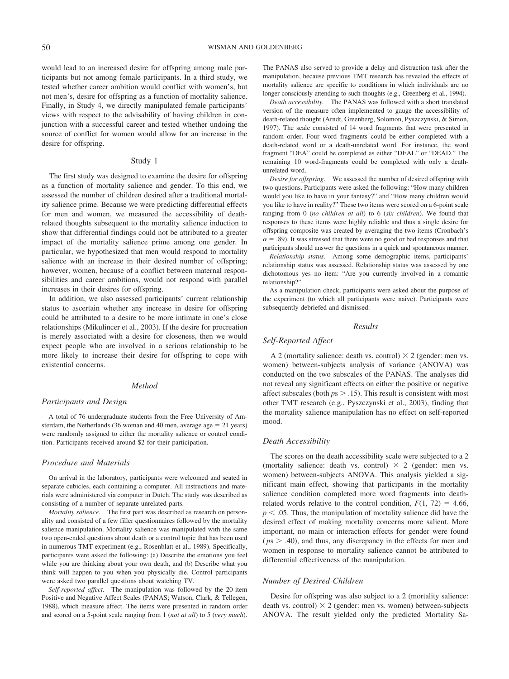would lead to an increased desire for offspring among male participants but not among female participants. In a third study, we tested whether career ambition would conflict with women's, but not men's, desire for offspring as a function of mortality salience. Finally, in Study 4, we directly manipulated female participants' views with respect to the advisability of having children in conjunction with a successful career and tested whether undoing the source of conflict for women would allow for an increase in the desire for offspring.

#### Study 1

The first study was designed to examine the desire for offspring as a function of mortality salience and gender. To this end, we assessed the number of children desired after a traditional mortality salience prime. Because we were predicting differential effects for men and women, we measured the accessibility of deathrelated thoughts subsequent to the mortality salience induction to show that differential findings could not be attributed to a greater impact of the mortality salience prime among one gender. In particular, we hypothesized that men would respond to mortality salience with an increase in their desired number of offspring; however, women, because of a conflict between maternal responsibilities and career ambitions, would not respond with parallel increases in their desires for offspring.

In addition, we also assessed participants' current relationship status to ascertain whether any increase in desire for offspring could be attributed to a desire to be more intimate in one's close relationships (Mikulincer et al., 2003). If the desire for procreation is merely associated with a desire for closeness, then we would expect people who are involved in a serious relationship to be more likely to increase their desire for offspring to cope with existential concerns.

#### *Method*

#### *Participants and Design*

A total of 76 undergraduate students from the Free University of Amsterdam, the Netherlands (36 woman and 40 men, average age  $= 21$  years) were randomly assigned to either the mortality salience or control condition. Participants received around \$2 for their participation.

#### *Procedure and Materials*

On arrival in the laboratory, participants were welcomed and seated in separate cubicles, each containing a computer. All instructions and materials were administered via computer in Dutch. The study was described as consisting of a number of separate unrelated parts.

*Mortality salience.* The first part was described as research on personality and consisted of a few filler questionnaires followed by the mortality salience manipulation. Mortality salience was manipulated with the same two open-ended questions about death or a control topic that has been used in numerous TMT experiment (e.g., Rosenblatt et al., 1989). Specifically, participants were asked the following: (a) Describe the emotions you feel while you are thinking about your own death, and (b) Describe what you think will happen to you when you physically die. Control participants were asked two parallel questions about watching TV.

*Self-reported affect.* The manipulation was followed by the 20-item Positive and Negative Affect Scales (PANAS; Watson, Clark, & Tellegen, 1988), which measure affect. The items were presented in random order and scored on a 5-point scale ranging from 1 (*not at all*) to 5 (*very much*). The PANAS also served to provide a delay and distraction task after the manipulation, because previous TMT research has revealed the effects of mortality salience are specific to conditions in which individuals are no longer consciously attending to such thoughts (e.g., Greenberg et al., 1994).

*Death accessibility.* The PANAS was followed with a short translated version of the measure often implemented to gauge the accessibility of death-related thought (Arndt, Greenberg, Solomon, Pyszczynski, & Simon, 1997). The scale consisted of 14 word fragments that were presented in random order. Four word fragments could be either completed with a death-related word or a death-unrelated word. For instance, the word fragment "DEA" could be completed as either "DEAL" or "DEAD." The remaining 10 word-fragments could be completed with only a deathunrelated word.

*Desire for offspring.* We assessed the number of desired offspring with two questions. Participants were asked the following: "How many children would you like to have in your fantasy?" and "How many children would you like to have in reality?" These two items were scored on a 6-point scale ranging from 0 (*no children at all*) to 6 (*six children*). We found that responses to these items were highly reliable and thus a single desire for offspring composite was created by averaging the two items (Cronbach's  $\alpha$  = .89). It was stressed that there were no good or bad responses and that participants should answer the questions in a quick and spontaneous manner.

*Relationship status.* Among some demographic items, participants' relationship status was assessed. Relationship status was assessed by one dichotomous yes–no item: "Are you currently involved in a romantic relationship?"

As a manipulation check, participants were asked about the purpose of the experiment (to which all participants were naive). Participants were subsequently debriefed and dismissed.

#### *Results*

#### *Self-Reported Affect*

A 2 (mortality salience: death vs. control)  $\times$  2 (gender: men vs. women) between-subjects analysis of variance (ANOVA) was conducted on the two subscales of the PANAS. The analyses did not reveal any significant effects on either the positive or negative affect subscales (both  $p_s > .15$ ). This result is consistent with most other TMT research (e.g., Pyszczynski et al., 2003), finding that the mortality salience manipulation has no effect on self-reported mood.

#### *Death Accessibility*

The scores on the death accessibility scale were subjected to a 2 (mortality salience: death vs. control)  $\times$  2 (gender: men vs. women) between-subjects ANOVA. This analysis yielded a significant main effect, showing that participants in the mortality salience condition completed more word fragments into deathrelated words relative to the control condition,  $F(1, 72) = 4.66$ ,  $p < .05$ . Thus, the manipulation of mortality salience did have the desired effect of making mortality concerns more salient. More important, no main or interaction effects for gender were found  $(ps > .40)$ , and thus, any discrepancy in the effects for men and women in response to mortality salience cannot be attributed to differential effectiveness of the manipulation.

#### *Number of Desired Children*

Desire for offspring was also subject to a 2 (mortality salience: death vs. control)  $\times$  2 (gender: men vs. women) between-subjects ANOVA. The result yielded only the predicted Mortality Sa-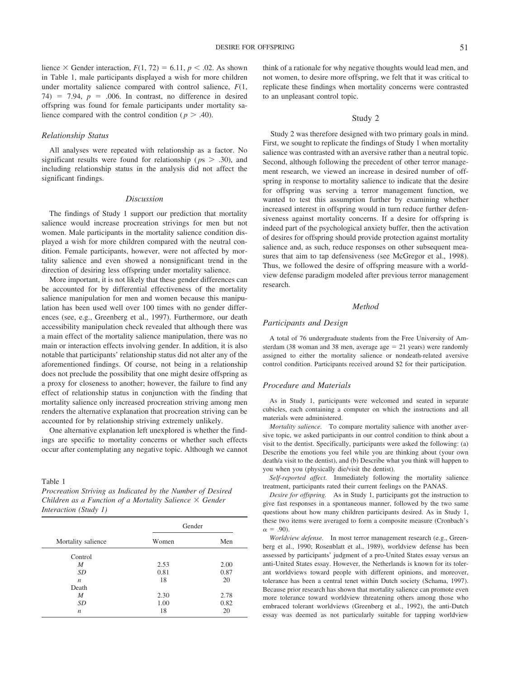lience  $\times$  Gender interaction,  $F(1, 72) = 6.11$ ,  $p < .02$ . As shown in Table 1, male participants displayed a wish for more children under mortality salience compared with control salience, *F*(1,  $74)$  = 7.94,  $p$  = .006. In contrast, no difference in desired offspring was found for female participants under mortality salience compared with the control condition ( $p > .40$ ).

#### *Relationship Status*

All analyses were repeated with relationship as a factor. No significant results were found for relationship ( $p_s > .30$ ), and including relationship status in the analysis did not affect the significant findings.

#### *Discussion*

The findings of Study 1 support our prediction that mortality salience would increase procreation strivings for men but not women. Male participants in the mortality salience condition displayed a wish for more children compared with the neutral condition. Female participants, however, were not affected by mortality salience and even showed a nonsignificant trend in the direction of desiring less offspring under mortality salience.

More important, it is not likely that these gender differences can be accounted for by differential effectiveness of the mortality salience manipulation for men and women because this manipulation has been used well over 100 times with no gender differences (see, e.g., Greenberg et al., 1997). Furthermore, our death accessibility manipulation check revealed that although there was a main effect of the mortality salience manipulation, there was no main or interaction effects involving gender. In addition, it is also notable that participants' relationship status did not alter any of the aforementioned findings. Of course, not being in a relationship does not preclude the possibility that one might desire offspring as a proxy for closeness to another; however, the failure to find any effect of relationship status in conjunction with the finding that mortality salience only increased procreation striving among men renders the alternative explanation that procreation striving can be accounted for by relationship striving extremely unlikely.

One alternative explanation left unexplored is whether the findings are specific to mortality concerns or whether such effects occur after contemplating any negative topic. Although we cannot

Table 1

*Procreation Striving as Indicated by the Number of Desired* Children as a Function of a Mortality Salience  $\times$  Gender *Interaction (Study 1)*

| Mortality salience | Gender |      |
|--------------------|--------|------|
|                    | Women  | Men  |
| Control            |        |      |
| M                  | 2.53   | 2.00 |
| SD                 | 0.81   | 0.87 |
| $\boldsymbol{n}$   | 18     | 20   |
| Death              |        |      |
| M                  | 2.30   | 2.78 |
| SD                 | 1.00   | 0.82 |
| $\boldsymbol{n}$   | 18     | 20   |

think of a rationale for why negative thoughts would lead men, and not women, to desire more offspring, we felt that it was critical to replicate these findings when mortality concerns were contrasted to an unpleasant control topic.

#### Study 2

Study 2 was therefore designed with two primary goals in mind. First, we sought to replicate the findings of Study 1 when mortality salience was contrasted with an aversive rather than a neutral topic. Second, although following the precedent of other terror management research, we viewed an increase in desired number of offspring in response to mortality salience to indicate that the desire for offspring was serving a terror management function, we wanted to test this assumption further by examining whether increased interest in offspring would in turn reduce further defensiveness against mortality concerns. If a desire for offspring is indeed part of the psychological anxiety buffer, then the activation of desires for offspring should provide protection against mortality salience and, as such, reduce responses on other subsequent measures that aim to tap defensiveness (see McGregor et al., 1998). Thus, we followed the desire of offspring measure with a worldview defense paradigm modeled after previous terror management research.

#### *Method*

#### *Participants and Design*

A total of 76 undergraduate students from the Free University of Amsterdam (38 woman and 38 men, average age  $= 21$  years) were randomly assigned to either the mortality salience or nondeath-related aversive control condition. Participants received around \$2 for their participation.

#### *Procedure and Materials*

As in Study 1, participants were welcomed and seated in separate cubicles, each containing a computer on which the instructions and all materials were administered.

*Mortality salience.* To compare mortality salience with another aversive topic, we asked participants in our control condition to think about a visit to the dentist. Specifically, participants were asked the following: (a) Describe the emotions you feel while you are thinking about (your own death/a visit to the dentist), and (b) Describe what you think will happen to you when you (physically die/visit the dentist).

*Self-reported affect.* Immediately following the mortality salience treatment, participants rated their current feelings on the PANAS.

*Desire for offspring.* As in Study 1, participants got the instruction to give fast responses in a spontaneous manner, followed by the two same questions about how many children participants desired. As in Study 1, these two items were averaged to form a composite measure (Cronbach's  $\alpha = .90$ ).

*Worldview defense.* In most terror management research (e.g., Greenberg et al., 1990; Rosenblatt et al., 1989), worldview defense has been assessed by participants' judgment of a pro-United States essay versus an anti-United States essay. However, the Netherlands is known for its tolerant worldviews toward people with different opinions, and moreover, tolerance has been a central tenet within Dutch society (Schama, 1997). Because prior research has shown that mortality salience can promote even more tolerance toward worldview threatening others among those who embraced tolerant worldviews (Greenberg et al., 1992), the anti-Dutch essay was deemed as not particularly suitable for tapping worldview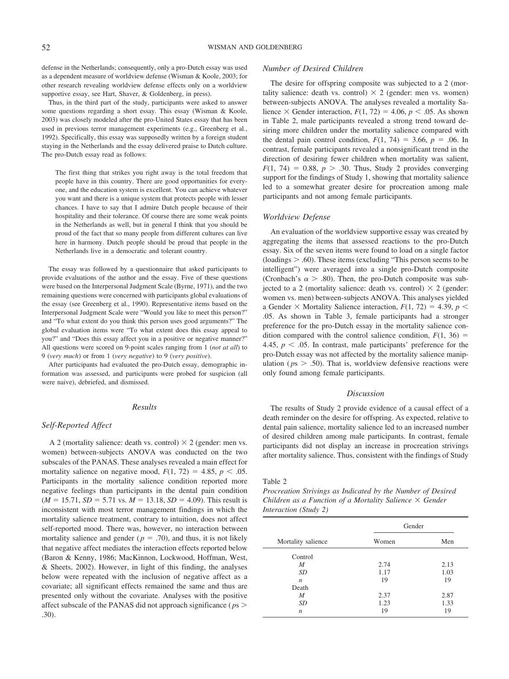defense in the Netherlands; consequently, only a pro-Dutch essay was used as a dependent measure of worldview defense (Wisman & Koole, 2003; for other research revealing worldview defense effects only on a worldview supportive essay, see Hart, Shaver, & Goldenberg, in press).

Thus, in the third part of the study, participants were asked to answer some questions regarding a short essay. This essay (Wisman & Koole, 2003) was closely modeled after the pro-United States essay that has been used in previous terror management experiments (e.g., Greenberg et al., 1992). Specifically, this essay was supposedly written by a foreign student staying in the Netherlands and the essay delivered praise to Dutch culture. The pro-Dutch essay read as follows:

The first thing that strikes you right away is the total freedom that people have in this country. There are good opportunities for everyone, and the education system is excellent. You can achieve whatever you want and there is a unique system that protects people with lesser chances. I have to say that I admire Dutch people because of their hospitality and their tolerance. Of course there are some weak points in the Netherlands as well, but in general I think that you should be proud of the fact that so many people from different cultures can live here in harmony. Dutch people should be proud that people in the Netherlands live in a democratic and tolerant country.

The essay was followed by a questionnaire that asked participants to provide evaluations of the author and the essay. Five of these questions were based on the Interpersonal Judgment Scale (Byrne, 1971), and the two remaining questions were concerned with participants global evaluations of the essay (see Greenberg et al., 1990). Representative items based on the Interpersonal Judgment Scale were "Would you like to meet this person?" and "To what extent do you think this person uses good arguments?" The global evaluation items were "To what extent does this essay appeal to you?" and "Does this essay affect you in a positive or negative manner?" All questions were scored on 9-point scales ranging from 1 (*not at all*) to 9 (*very much*) or from 1 (*very negative*) to 9 (*very positive*).

After participants had evaluated the pro-Dutch essay, demographic information was assessed, and participants were probed for suspicion (all were naive), debriefed, and dismissed.

#### *Results*

#### *Self-Reported Affect*

A 2 (mortality salience: death vs. control)  $\times$  2 (gender: men vs. women) between-subjects ANOVA was conducted on the two subscales of the PANAS. These analyses revealed a main effect for mortality salience on negative mood,  $F(1, 72) = 4.85$ ,  $p < .05$ . Participants in the mortality salience condition reported more negative feelings than participants in the dental pain condition  $(M = 15.71, SD = 5.71$  vs.  $M = 13.18, SD = 4.09$ ). This result is inconsistent with most terror management findings in which the mortality salience treatment, contrary to intuition, does not affect self-reported mood. There was, however, no interaction between mortality salience and gender ( $p = .70$ ), and thus, it is not likely that negative affect mediates the interaction effects reported below (Baron & Kenny, 1986; MacKinnon, Lockwood, Hoffman, West, & Sheets, 2002). However, in light of this finding, the analyses below were repeated with the inclusion of negative affect as a covariate; all significant effects remained the same and thus are presented only without the covariate. Analyses with the positive affect subscale of the PANAS did not approach significance ( *p*s .30).

#### *Number of Desired Children*

The desire for offspring composite was subjected to a 2 (mortality salience: death vs. control)  $\times$  2 (gender: men vs. women) between-subjects ANOVA. The analyses revealed a mortality Salience  $\times$  Gender interaction,  $F(1, 72) = 4.06$ ,  $p < .05$ . As shown in Table 2, male participants revealed a strong trend toward desiring more children under the mortality salience compared with the dental pain control condition,  $F(1, 74) = 3.66$ ,  $p = .06$ . In contrast, female participants revealed a nonsignificant trend in the direction of desiring fewer children when mortality was salient,  $F(1, 74) = 0.88$ ,  $p > .30$ . Thus, Study 2 provides converging support for the findings of Study 1, showing that mortality salience led to a somewhat greater desire for procreation among male participants and not among female participants.

#### *Worldview Defense*

An evaluation of the worldview supportive essay was created by aggregating the items that assessed reactions to the pro-Dutch essay. Six of the seven items were found to load on a single factor  $\Lambda$  (loadings  $> .60$ ). These items (excluding "This person seems to be intelligent") were averaged into a single pro-Dutch composite (Cronbach's  $\alpha$  > .80). Then, the pro-Dutch composite was subjected to a 2 (mortality salience: death vs. control)  $\times$  2 (gender: women vs. men) between-subjects ANOVA. This analyses yielded a Gender  $\times$  Mortality Salience interaction,  $F(1, 72) = 4.39$ ,  $p <$ .05. As shown in Table 3, female participants had a stronger preference for the pro-Dutch essay in the mortality salience condition compared with the control salience condition,  $F(1, 36) =$ 4.45,  $p < .05$ . In contrast, male participants' preference for the pro-Dutch essay was not affected by the mortality salience manipulation ( $ps > .50$ ). That is, worldview defensive reactions were only found among female participants.

#### *Discussion*

The results of Study 2 provide evidence of a causal effect of a death reminder on the desire for offspring. As expected, relative to dental pain salience, mortality salience led to an increased number of desired children among male participants. In contrast, female participants did not display an increase in procreation strivings after mortality salience. Thus, consistent with the findings of Study

#### Table 2

*Procreation Strivings as Indicated by the Number of Desired* Children as a Function of a Mortality Salience  $\times$  Gender *Interaction (Study 2)*

| Mortality salience | Gender |      |
|--------------------|--------|------|
|                    | Women  | Men  |
| Control            |        |      |
| M                  | 2.74   | 2.13 |
| SD                 | 1.17   | 1.03 |
| n                  | 19     | 19   |
| Death              |        |      |
| M                  | 2.37   | 2.87 |
| SD                 | 1.23   | 1.33 |
| $\boldsymbol{n}$   | 19     | 19   |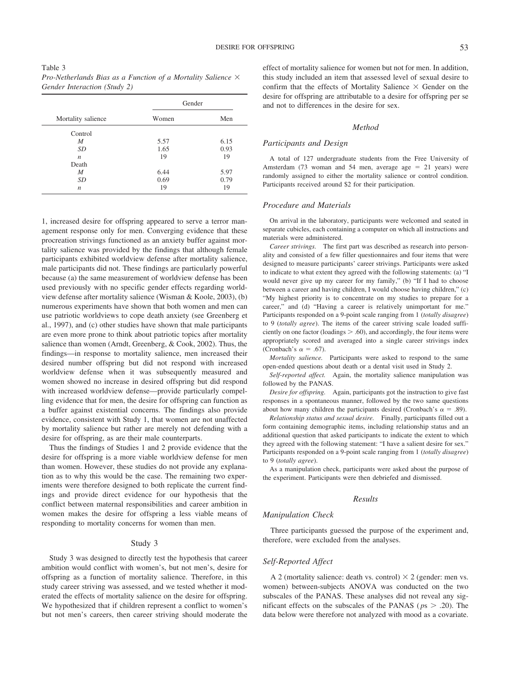Table 3 *Pro-Netherlands Bias as a Function of a Mortality Salience*  $\times$ *Gender Interaction (Study 2)*

| Mortality salience | Gender |      |
|--------------------|--------|------|
|                    | Women  | Men  |
| Control            |        |      |
| M                  | 5.57   | 6.15 |
| SD                 | 1.65   | 0.93 |
| $\boldsymbol{n}$   | 19     | 19   |
| Death              |        |      |
| M                  | 6.44   | 5.97 |
| SD                 | 0.69   | 0.79 |
| $\boldsymbol{n}$   | 19     | 19   |

1, increased desire for offspring appeared to serve a terror management response only for men. Converging evidence that these procreation strivings functioned as an anxiety buffer against mortality salience was provided by the findings that although female participants exhibited worldview defense after mortality salience, male participants did not. These findings are particularly powerful because (a) the same measurement of worldview defense has been used previously with no specific gender effects regarding worldview defense after mortality salience (Wisman & Koole, 2003), (b) numerous experiments have shown that both women and men can use patriotic worldviews to cope death anxiety (see Greenberg et al., 1997), and (c) other studies have shown that male participants are even more prone to think about patriotic topics after mortality salience than women (Arndt, Greenberg, & Cook, 2002). Thus, the findings—in response to mortality salience, men increased their desired number offspring but did not respond with increased worldview defense when it was subsequently measured and women showed no increase in desired offspring but did respond with increased worldview defense—provide particularly compelling evidence that for men, the desire for offspring can function as a buffer against existential concerns. The findings also provide evidence, consistent with Study 1, that women are not unaffected by mortality salience but rather are merely not defending with a desire for offspring, as are their male counterparts.

Thus the findings of Studies 1 and 2 provide evidence that the desire for offspring is a more viable worldview defense for men than women. However, these studies do not provide any explanation as to why this would be the case. The remaining two experiments were therefore designed to both replicate the current findings and provide direct evidence for our hypothesis that the conflict between maternal responsibilities and career ambition in women makes the desire for offspring a less viable means of responding to mortality concerns for women than men.

#### Study 3

Study 3 was designed to directly test the hypothesis that career ambition would conflict with women's, but not men's, desire for offspring as a function of mortality salience. Therefore, in this study career striving was assessed, and we tested whether it moderated the effects of mortality salience on the desire for offspring. We hypothesized that if children represent a conflict to women's but not men's careers, then career striving should moderate the effect of mortality salience for women but not for men. In addition, this study included an item that assessed level of sexual desire to confirm that the effects of Mortality Salience  $\times$  Gender on the desire for offspring are attributable to a desire for offspring per se and not to differences in the desire for sex.

#### *Method*

#### *Participants and Design*

A total of 127 undergraduate students from the Free University of Amsterdam (73 woman and 54 men, average age  $= 21$  years) were randomly assigned to either the mortality salience or control condition. Participants received around \$2 for their participation.

#### *Procedure and Materials*

On arrival in the laboratory, participants were welcomed and seated in separate cubicles, each containing a computer on which all instructions and materials were administered.

*Career strivings.* The first part was described as research into personality and consisted of a few filler questionnaires and four items that were designed to measure participants' career strivings. Participants were asked to indicate to what extent they agreed with the following statements: (a) "I would never give up my career for my family," (b) "If I had to choose between a career and having children, I would choose having children," (c) "My highest priority is to concentrate on my studies to prepare for a career," and (d) "Having a career is relatively unimportant for me." Participants responded on a 9-point scale ranging from 1 (*totally disagree*) to 9 (*totally agree*). The items of the career striving scale loaded sufficiently on one factor (loadings  $> .60$ ), and accordingly, the four items were appropriately scored and averaged into a single career strivings index (Cronbach's  $\alpha = .67$ ).

*Mortality salience.* Participants were asked to respond to the same open-ended questions about death or a dental visit used in Study 2.

*Self-reported affect.* Again, the mortality salience manipulation was followed by the PANAS.

*Desire for offspring.* Again, participants got the instruction to give fast responses in a spontaneous manner, followed by the two same questions about how many children the participants desired (Cronbach's  $\alpha = .89$ ).

*Relationship status and sexual desire.* Finally, participants filled out a form containing demographic items, including relationship status and an additional question that asked participants to indicate the extent to which they agreed with the following statement: "I have a salient desire for sex." Participants responded on a 9-point scale ranging from 1 (*totally disagree*) to 9 (*totally agree*).

As a manipulation check, participants were asked about the purpose of the experiment. Participants were then debriefed and dismissed.

#### *Results*

#### *Manipulation Check*

Three participants guessed the purpose of the experiment and, therefore, were excluded from the analyses.

#### *Self-Reported Affect*

A 2 (mortality salience: death vs. control)  $\times$  2 (gender: men vs. women) between-subjects ANOVA was conducted on the two subscales of the PANAS. These analyses did not reveal any significant effects on the subscales of the PANAS ( $p_s$  > .20). The data below were therefore not analyzed with mood as a covariate.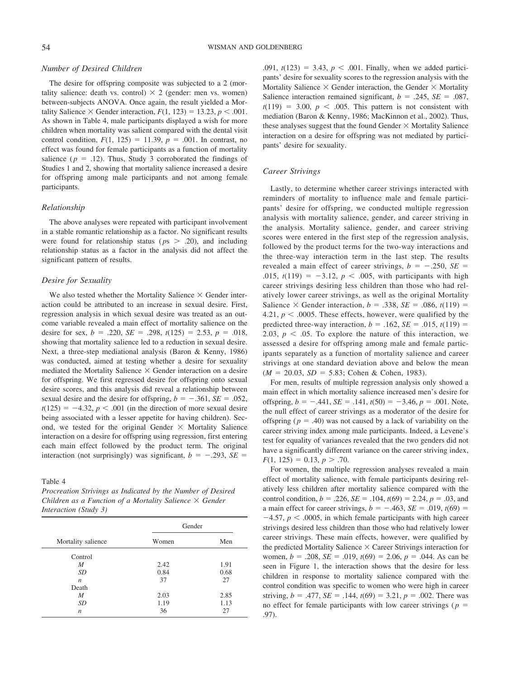#### *Number of Desired Children*

The desire for offspring composite was subjected to a 2 (mortality salience: death vs. control)  $\times$  2 (gender: men vs. women) between-subjects ANOVA. Once again, the result yielded a Mortality Salience  $\times$  Gender interaction,  $F(1, 123) = 13.23, p < .001$ . As shown in Table 4, male participants displayed a wish for more children when mortality was salient compared with the dental visit control condition,  $F(1, 125) = 11.39$ ,  $p = .001$ . In contrast, no effect was found for female participants as a function of mortality salience ( $p = .12$ ). Thus, Study 3 corroborated the findings of Studies 1 and 2, showing that mortality salience increased a desire for offspring among male participants and not among female participants.

#### *Relationship*

The above analyses were repeated with participant involvement in a stable romantic relationship as a factor. No significant results were found for relationship status ( $p_s$  > .20), and including relationship status as a factor in the analysis did not affect the significant pattern of results.

#### *Desire for Sexuality*

We also tested whether the Mortality Salience  $\times$  Gender interaction could be attributed to an increase in sexual desire. First, regression analysis in which sexual desire was treated as an outcome variable revealed a main effect of mortality salience on the desire for sex,  $b = .220$ ,  $SE = .298$ ,  $t(125) = 2.53$ ,  $p = .018$ , showing that mortality salience led to a reduction in sexual desire. Next, a three-step mediational analysis (Baron & Kenny, 1986) was conducted, aimed at testing whether a desire for sexuality mediated the Mortality Salience  $\times$  Gender interaction on a desire for offspring. We first regressed desire for offspring onto sexual desire scores, and this analysis did reveal a relationship between sexual desire and the desire for offspring,  $b = -.361$ ,  $SE = .052$ ,  $t(125) = -4.32$ ,  $p < .001$  (in the direction of more sexual desire being associated with a lesser appetite for having children). Second, we tested for the original Gender  $\times$  Mortality Salience interaction on a desire for offspring using regression, first entering each main effect followed by the product term. The original interaction (not surprisingly) was significant,  $b = -.293$ ,  $SE =$ 

Table 4

*Procreation Strivings as Indicated by the Number of Desired* Children as a Function of a Mortality Salience  $\times$  Gender *Interaction (Study 3)*

|                    | Gender |      |
|--------------------|--------|------|
| Mortality salience | Women  | Men  |
| Control            |        |      |
| M                  | 2.42   | 1.91 |
| SD                 | 0.84   | 0.68 |
| $\boldsymbol{n}$   | 37     | 27   |
| Death              |        |      |
| $\boldsymbol{M}$   | 2.03   | 2.85 |
| SD                 | 1.19   | 1.13 |
| $\boldsymbol{n}$   | 36     | 27   |

.091,  $t(123) = 3.43$ ,  $p < .001$ . Finally, when we added participants' desire for sexuality scores to the regression analysis with the Mortality Salience  $\times$  Gender interaction, the Gender  $\times$  Mortality Salience interaction remained significant,  $b = .245$ ,  $SE = .087$ ,  $t(119) = 3.00, p < .005$ . This pattern is not consistent with mediation (Baron & Kenny, 1986; MacKinnon et al., 2002). Thus, these analyses suggest that the found Gender  $\times$  Mortality Salience interaction on a desire for offspring was not mediated by participants' desire for sexuality.

#### *Career Strivings*

Lastly, to determine whether career strivings interacted with reminders of mortality to influence male and female participants' desire for offspring, we conducted multiple regression analysis with mortality salience, gender, and career striving in the analysis. Mortality salience, gender, and career striving scores were entered in the first step of the regression analysis, followed by the product terms for the two-way interactions and the three-way interaction term in the last step. The results revealed a main effect of career strivings,  $b = -.250$ ,  $SE =$ .015,  $t(119) = -3.12$ ,  $p < .005$ , with participants with high career strivings desiring less children than those who had relatively lower career strivings, as well as the original Mortality Salience  $\times$  Gender interaction,  $b = .338$ ,  $SE = .086$ ,  $t(119) =$ 4.21,  $p < .0005$ . These effects, however, were qualified by the predicted three-way interaction,  $b = .162$ ,  $SE = .015$ ,  $t(119) =$ 2.03,  $p < .05$ . To explore the nature of this interaction, we assessed a desire for offspring among male and female participants separately as a function of mortality salience and career strivings at one standard deviation above and below the mean  $(M = 20.03, SD = 5.83; \text{ Cohen } \& \text{ Cohen}, 1983).$ 

For men, results of multiple regression analysis only showed a main effect in which mortality salience increased men's desire for offspring,  $b = -.441$ ,  $SE = .141$ ,  $t(50) = -3.46$ ,  $p = .001$ . Note, the null effect of career strivings as a moderator of the desire for offspring ( $p = .40$ ) was not caused by a lack of variability on the career striving index among male participants. Indeed, a Levene's test for equality of variances revealed that the two genders did not have a significantly different variance on the career striving index,  $F(1, 125) = 0.13, p > .70.$ 

For women, the multiple regression analyses revealed a main effect of mortality salience, with female participants desiring relatively less children after mortality salience compared with the control condition,  $b = .226$ ,  $SE = .104$ ,  $t(69) = 2.24$ ,  $p = .03$ , and a main effect for career strivings,  $b = -.463$ ,  $SE = .019$ ,  $t(69) =$  $-4.57, p < .0005$ , in which female participants with high career strivings desired less children than those who had relatively lower career strivings. These main effects, however, were qualified by the predicted Mortality Salience  $\times$  Career Strivings interaction for women,  $b = .208$ ,  $SE = .019$ ,  $t(69) = 2.06$ ,  $p = .044$ . As can be seen in Figure 1, the interaction shows that the desire for less children in response to mortality salience compared with the control condition was specific to women who were high in career striving,  $b = .477$ ,  $SE = .144$ ,  $t(69) = 3.21$ ,  $p = .002$ . There was no effect for female participants with low career strivings ( $p =$ .97).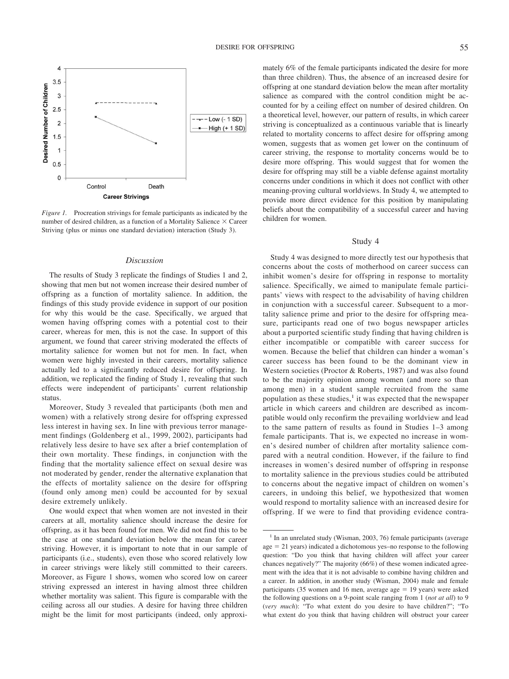

*Figure 1.* Procreation strivings for female participants as indicated by the number of desired children, as a function of a Mortality Salience  $\times$  Career Striving (plus or minus one standard deviation) interaction (Study 3).

#### *Discussion*

The results of Study 3 replicate the findings of Studies 1 and 2, showing that men but not women increase their desired number of offspring as a function of mortality salience. In addition, the findings of this study provide evidence in support of our position for why this would be the case. Specifically, we argued that women having offspring comes with a potential cost to their career, whereas for men, this is not the case. In support of this argument, we found that career striving moderated the effects of mortality salience for women but not for men. In fact, when women were highly invested in their careers, mortality salience actually led to a significantly reduced desire for offspring. In addition, we replicated the finding of Study 1, revealing that such effects were independent of participants' current relationship status.

Moreover, Study 3 revealed that participants (both men and women) with a relatively strong desire for offspring expressed less interest in having sex. In line with previous terror management findings (Goldenberg et al., 1999, 2002), participants had relatively less desire to have sex after a brief contemplation of their own mortality. These findings, in conjunction with the finding that the mortality salience effect on sexual desire was not moderated by gender, render the alternative explanation that the effects of mortality salience on the desire for offspring (found only among men) could be accounted for by sexual desire extremely unlikely.

One would expect that when women are not invested in their careers at all, mortality salience should increase the desire for offspring, as it has been found for men. We did not find this to be the case at one standard deviation below the mean for career striving. However, it is important to note that in our sample of participants (i.e., students), even those who scored relatively low in career strivings were likely still committed to their careers. Moreover, as Figure 1 shows, women who scored low on career striving expressed an interest in having almost three children whether mortality was salient. This figure is comparable with the ceiling across all our studies. A desire for having three children might be the limit for most participants (indeed, only approximately 6% of the female participants indicated the desire for more than three children). Thus, the absence of an increased desire for offspring at one standard deviation below the mean after mortality salience as compared with the control condition might be accounted for by a ceiling effect on number of desired children. On a theoretical level, however, our pattern of results, in which career striving is conceptualized as a continuous variable that is linearly related to mortality concerns to affect desire for offspring among women, suggests that as women get lower on the continuum of career striving, the response to mortality concerns would be to desire more offspring. This would suggest that for women the desire for offspring may still be a viable defense against mortality concerns under conditions in which it does not conflict with other meaning-proving cultural worldviews. In Study 4, we attempted to provide more direct evidence for this position by manipulating beliefs about the compatibility of a successful career and having children for women.

#### Study 4

Study 4 was designed to more directly test our hypothesis that concerns about the costs of motherhood on career success can inhibit women's desire for offspring in response to mortality salience. Specifically, we aimed to manipulate female participants' views with respect to the advisability of having children in conjunction with a successful career. Subsequent to a mortality salience prime and prior to the desire for offspring measure, participants read one of two bogus newspaper articles about a purported scientific study finding that having children is either incompatible or compatible with career success for women. Because the belief that children can hinder a woman's career success has been found to be the dominant view in Western societies (Proctor & Roberts, 1987) and was also found to be the majority opinion among women (and more so than among men) in a student sample recruited from the same population as these studies, $<sup>1</sup>$  it was expected that the newspaper</sup> article in which careers and children are described as incompatible would only reconfirm the prevailing worldview and lead to the same pattern of results as found in Studies 1–3 among female participants. That is, we expected no increase in women's desired number of children after mortality salience compared with a neutral condition. However, if the failure to find increases in women's desired number of offspring in response to mortality salience in the previous studies could be attributed to concerns about the negative impact of children on women's careers, in undoing this belief, we hypothesized that women would respond to mortality salience with an increased desire for offspring. If we were to find that providing evidence contra-

<sup>&</sup>lt;sup>1</sup> In an unrelated study (Wisman, 2003, 76) female participants (average  $age = 21 years) indicated a dichotomous yes-no response to the following$ question: "Do you think that having children will affect your career chances negatively?" The majority (66%) of these women indicated agreement with the idea that it is not advisable to combine having children and a career. In addition, in another study (Wisman, 2004) male and female participants (35 women and 16 men, average age  $= 19$  years) were asked the following questions on a 9-point scale ranging from 1 (*not at all*) to 9 (*very much*): "To what extent do you desire to have children?"; "To what extent do you think that having children will obstruct your career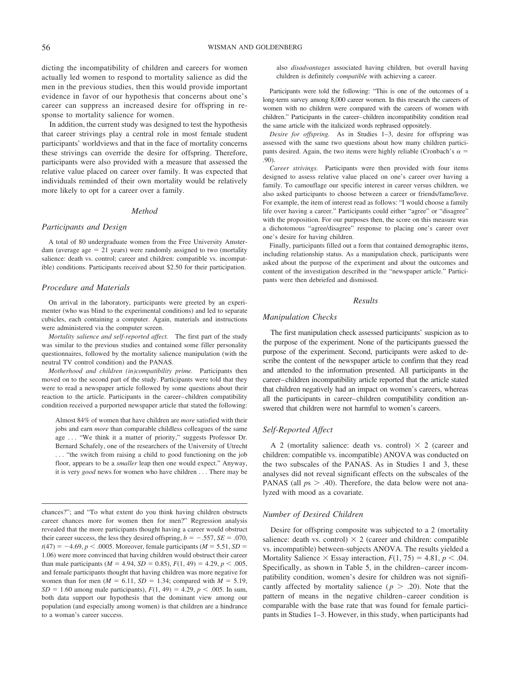dicting the incompatibility of children and careers for women actually led women to respond to mortality salience as did the men in the previous studies, then this would provide important evidence in favor of our hypothesis that concerns about one's career can suppress an increased desire for offspring in response to mortality salience for women.

In addition, the current study was designed to test the hypothesis that career strivings play a central role in most female student participants' worldviews and that in the face of mortality concerns these strivings can override the desire for offspring. Therefore, participants were also provided with a measure that assessed the relative value placed on career over family. It was expected that individuals reminded of their own mortality would be relatively more likely to opt for a career over a family.

#### *Method*

#### *Participants and Design*

A total of 80 undergraduate women from the Free University Amsterdam (average age  $= 21$  years) were randomly assigned to two (mortality salience: death vs. control; career and children: compatible vs. incompatible) conditions. Participants received about \$2.50 for their participation.

#### *Procedure and Materials*

On arrival in the laboratory, participants were greeted by an experimenter (who was blind to the experimental conditions) and led to separate cubicles, each containing a computer. Again, materials and instructions were administered via the computer screen.

*Mortality salience and self-reported affect.* The first part of the study was similar to the previous studies and contained some filler personality questionnaires, followed by the mortality salience manipulation (with the neutral TV control condition) and the PANAS.

*Motherhood and children (in)compatibility prime.* Participants then moved on to the second part of the study. Participants were told that they were to read a newspaper article followed by some questions about their reaction to the article. Participants in the career–children compatibility condition received a purported newspaper article that stated the following:

Almost 84% of women that have children are *more* satisfied with their jobs and earn *more* than comparable childless colleagues of the same age . . . "We think it a matter of priority," suggests Professor Dr. Bernard Schafely, one of the researchers of the University of Utrecht . . . "the switch from raising a child to good functioning on the job floor, appears to be a *smaller* leap then one would expect." Anyway, it is very *good* news for women who have children . . . There may be

chances?"; and "To what extent do you think having children obstructs career chances more for women then for men?" Regression analysis revealed that the more participants thought having a career would obstruct their career success, the less they desired offspring,  $b = -.557$ ,  $SE = .070$ ,  $t(47) = -4.69, p < .0005$ . Moreover, female participants ( $M = 5.51, SD =$ 1.06) were more convinced that having children would obstruct their career than male participants ( $M = 4.94$ ,  $SD = 0.85$ ),  $F(1, 49) = 4.29$ ,  $p < .005$ , and female participants thought that having children was more negative for women than for men ( $M = 6.11$ ,  $SD = 1.34$ ; compared with  $M = 5.19$ ,  $SD = 1.60$  among male participants),  $F(1, 49) = 4.29$ ,  $p < .005$ . In sum, both data support our hypothesis that the dominant view among our population (and especially among women) is that children are a hindrance to a woman's career success.

also *disadvantages* associated having children, but overall having children is definitely *compatible* with achieving a career.

Participants were told the following: "This is one of the outcomes of a long-term survey among 8,000 career women. In this research the careers of women with no children were compared with the careers of women with children." Participants in the career–children incompatibility condition read the same article with the italicized words rephrased oppositely.

*Desire for offspring.* As in Studies 1–3, desire for offspring was assessed with the same two questions about how many children participants desired. Again, the two items were highly reliable (Cronbach's  $\alpha$  = .90).

*Career strivings.* Participants were then provided with four items designed to assess relative value placed on one's career over having a family. To camouflage our specific interest in career versus children, we also asked participants to choose between a career or friends/fame/love. For example, the item of interest read as follows: "I would choose a family life over having a career." Participants could either "agree" or "disagree" with the proposition. For our purposes then, the score on this measure was a dichotomous "agree/disagree" response to placing one's career over one's desire for having children.

Finally, participants filled out a form that contained demographic items, including relationship status. As a manipulation check, participants were asked about the purpose of the experiment and about the outcomes and content of the investigation described in the "newspaper article." Participants were then debriefed and dismissed.

#### *Results*

#### *Manipulation Checks*

The first manipulation check assessed participants' suspicion as to the purpose of the experiment. None of the participants guessed the purpose of the experiment. Second, participants were asked to describe the content of the newspaper article to confirm that they read and attended to the information presented. All participants in the career–children incompatibility article reported that the article stated that children negatively had an impact on women's careers, whereas all the participants in career–children compatibility condition answered that children were not harmful to women's careers.

#### *Self-Reported Affect*

A 2 (mortality salience: death vs. control)  $\times$  2 (career and children: compatible vs. incompatible) ANOVA was conducted on the two subscales of the PANAS. As in Studies 1 and 3, these analyses did not reveal significant effects on the subscales of the PANAS (all  $ps > .40$ ). Therefore, the data below were not analyzed with mood as a covariate.

#### *Number of Desired Children*

Desire for offspring composite was subjected to a 2 (mortality salience: death vs. control)  $\times$  2 (career and children: compatible vs. incompatible) between-subjects ANOVA. The results yielded a Mortality Salience  $\times$  Essay interaction,  $F(1, 75) = 4.81$ ,  $p < .04$ . Specifically, as shown in Table 5, in the children–career incompatibility condition, women's desire for children was not significantly affected by mortality salience ( $p > .20$ ). Note that the pattern of means in the negative children–career condition is comparable with the base rate that was found for female participants in Studies 1–3. However, in this study, when participants had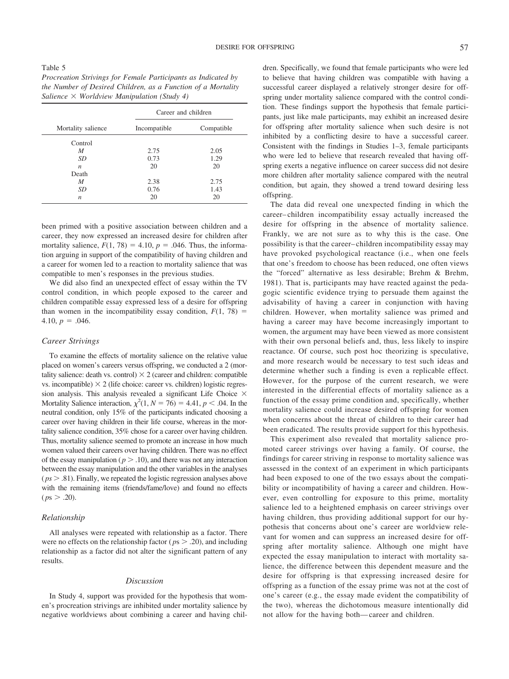#### Table 5

*Procreation Strivings for Female Participants as Indicated by the Number of Desired Children, as a Function of a Mortality Salience* - *Worldview Manipulation (Study 4)*

|                    | Career and children |            |
|--------------------|---------------------|------------|
| Mortality salience | Incompatible        | Compatible |
| Control            |                     |            |
| M                  | 2.75                | 2.05       |
| SD                 | 0.73                | 1.29       |
| n                  | 20                  | 20         |
| Death              |                     |            |
| $\boldsymbol{M}$   | 2.38                | 2.75       |
| SD                 | 0.76                | 1.43       |
| $\boldsymbol{n}$   | 20                  | 20         |

been primed with a positive association between children and a career, they now expressed an increased desire for children after mortality salience,  $F(1, 78) = 4.10$ ,  $p = .046$ . Thus, the information arguing in support of the compatibility of having children and a career for women led to a reaction to mortality salience that was compatible to men's responses in the previous studies.

We did also find an unexpected effect of essay within the TV control condition, in which people exposed to the career and children compatible essay expressed less of a desire for offspring than women in the incompatibility essay condition,  $F(1, 78) =$ 4.10,  $p = .046$ .

#### *Career Strivings*

To examine the effects of mortality salience on the relative value placed on women's careers versus offspring, we conducted a 2 (mortality salience: death vs. control)  $\times$  2 (career and children: compatible vs. incompatible)  $\times$  2 (life choice: career vs. children) logistic regression analysis. This analysis revealed a significant Life Choice  $\times$ Mortality Salience interaction,  $\chi^2(1, N = 76) = 4.41$ ,  $p < .04$ . In the neutral condition, only 15% of the participants indicated choosing a career over having children in their life course, whereas in the mortality salience condition, 35% chose for a career over having children. Thus, mortality salience seemed to promote an increase in how much women valued their careers over having children. There was no effect of the essay manipulation ( $p > 0.10$ ), and there was not any interaction between the essay manipulation and the other variables in the analyses  $(ps > .81)$ . Finally, we repeated the logistic regression analyses above with the remaining items (friends/fame/love) and found no effects  $(ps > .20)$ .

#### *Relationship*

All analyses were repeated with relationship as a factor. There were no effects on the relationship factor ( $p_s$   $>$  .20), and including relationship as a factor did not alter the significant pattern of any results.

#### *Discussion*

In Study 4, support was provided for the hypothesis that women's procreation strivings are inhibited under mortality salience by negative worldviews about combining a career and having children. Specifically, we found that female participants who were led to believe that having children was compatible with having a successful career displayed a relatively stronger desire for offspring under mortality salience compared with the control condition. These findings support the hypothesis that female participants, just like male participants, may exhibit an increased desire for offspring after mortality salience when such desire is not inhibited by a conflicting desire to have a successful career. Consistent with the findings in Studies 1–3, female participants who were led to believe that research revealed that having offspring exerts a negative influence on career success did not desire more children after mortality salience compared with the neutral condition, but again, they showed a trend toward desiring less offspring.

The data did reveal one unexpected finding in which the career–children incompatibility essay actually increased the desire for offspring in the absence of mortality salience. Frankly, we are not sure as to why this is the case. One possibility is that the career–children incompatibility essay may have provoked psychological reactance (i.e., when one feels that one's freedom to choose has been reduced, one often views the "forced" alternative as less desirable; Brehm & Brehm, 1981). That is, participants may have reacted against the pedagogic scientific evidence trying to persuade them against the advisability of having a career in conjunction with having children. However, when mortality salience was primed and having a career may have become increasingly important to women, the argument may have been viewed as more consistent with their own personal beliefs and, thus, less likely to inspire reactance. Of course, such post hoc theorizing is speculative, and more research would be necessary to test such ideas and determine whether such a finding is even a replicable effect. However, for the purpose of the current research, we were interested in the differential effects of mortality salience as a function of the essay prime condition and, specifically, whether mortality salience could increase desired offspring for women when concerns about the threat of children to their career had been eradicated. The results provide support for this hypothesis.

This experiment also revealed that mortality salience promoted career strivings over having a family. Of course, the findings for career striving in response to mortality salience was assessed in the context of an experiment in which participants had been exposed to one of the two essays about the compatibility or incompatibility of having a career and children. However, even controlling for exposure to this prime, mortality salience led to a heightened emphasis on career strivings over having children, thus providing additional support for our hypothesis that concerns about one's career are worldview relevant for women and can suppress an increased desire for offspring after mortality salience. Although one might have expected the essay manipulation to interact with mortality salience, the difference between this dependent measure and the desire for offspring is that expressing increased desire for offspring as a function of the essay prime was not at the cost of one's career (e.g., the essay made evident the compatibility of the two), whereas the dichotomous measure intentionally did not allow for the having both—career and children.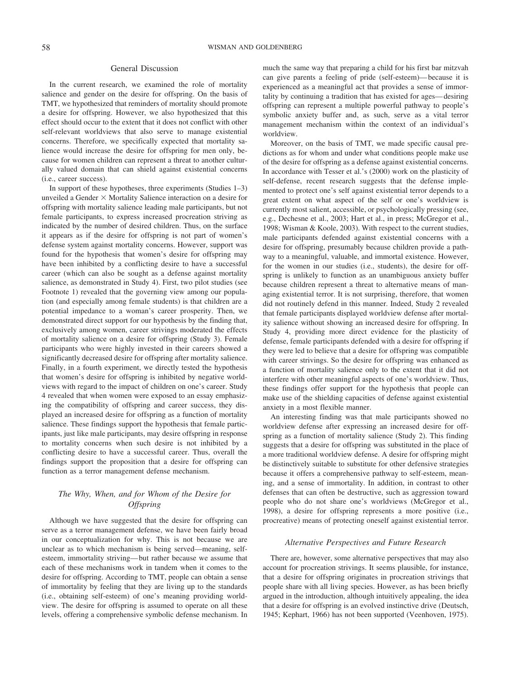#### General Discussion

In the current research, we examined the role of mortality salience and gender on the desire for offspring. On the basis of TMT, we hypothesized that reminders of mortality should promote a desire for offspring. However, we also hypothesized that this effect should occur to the extent that it does not conflict with other self-relevant worldviews that also serve to manage existential concerns. Therefore, we specifically expected that mortality salience would increase the desire for offspring for men only, because for women children can represent a threat to another culturally valued domain that can shield against existential concerns (i.e., career success).

In support of these hypotheses, three experiments (Studies 1–3) unveiled a Gender  $\times$  Mortality Salience interaction on a desire for offspring with mortality salience leading male participants, but not female participants, to express increased procreation striving as indicated by the number of desired children. Thus, on the surface it appears as if the desire for offspring is not part of women's defense system against mortality concerns. However, support was found for the hypothesis that women's desire for offspring may have been inhibited by a conflicting desire to have a successful career (which can also be sought as a defense against mortality salience, as demonstrated in Study 4). First, two pilot studies (see Footnote 1) revealed that the governing view among our population (and especially among female students) is that children are a potential impedance to a woman's career prosperity. Then, we demonstrated direct support for our hypothesis by the finding that, exclusively among women, career strivings moderated the effects of mortality salience on a desire for offspring (Study 3). Female participants who were highly invested in their careers showed a significantly decreased desire for offspring after mortality salience. Finally, in a fourth experiment, we directly tested the hypothesis that women's desire for offspring is inhibited by negative worldviews with regard to the impact of children on one's career. Study 4 revealed that when women were exposed to an essay emphasizing the compatibility of offspring and career success, they displayed an increased desire for offspring as a function of mortality salience. These findings support the hypothesis that female participants, just like male participants, may desire offspring in response to mortality concerns when such desire is not inhibited by a conflicting desire to have a successful career. Thus, overall the findings support the proposition that a desire for offspring can function as a terror management defense mechanism.

#### *The Why, When, and for Whom of the Desire for Offspring*

Although we have suggested that the desire for offspring can serve as a terror management defense, we have been fairly broad in our conceptualization for why. This is not because we are unclear as to which mechanism is being served—meaning, selfesteem, immortality striving—but rather because we assume that each of these mechanisms work in tandem when it comes to the desire for offspring. According to TMT, people can obtain a sense of immortality by feeling that they are living up to the standards (i.e., obtaining self-esteem) of one's meaning providing worldview. The desire for offspring is assumed to operate on all these levels, offering a comprehensive symbolic defense mechanism. In much the same way that preparing a child for his first bar mitzvah can give parents a feeling of pride (self-esteem)—because it is experienced as a meaningful act that provides a sense of immortality by continuing a tradition that has existed for ages—desiring offspring can represent a multiple powerful pathway to people's symbolic anxiety buffer and, as such, serve as a vital terror management mechanism within the context of an individual's worldview.

Moreover, on the basis of TMT, we made specific causal predictions as for whom and under what conditions people make use of the desire for offspring as a defense against existential concerns. In accordance with Tesser et al.'s (2000) work on the plasticity of self-defense, recent research suggests that the defense implemented to protect one's self against existential terror depends to a great extent on what aspect of the self or one's worldview is currently most salient, accessible, or psychologically pressing (see, e.g., Dechesne et al., 2003; Hart et al., in press; McGregor et al., 1998; Wisman & Koole, 2003). With respect to the current studies, male participants defended against existential concerns with a desire for offspring, presumably because children provide a pathway to a meaningful, valuable, and immortal existence. However, for the women in our studies (i.e., students), the desire for offspring is unlikely to function as an unambiguous anxiety buffer because children represent a threat to alternative means of managing existential terror. It is not surprising, therefore, that women did not routinely defend in this manner. Indeed, Study 2 revealed that female participants displayed worldview defense after mortality salience without showing an increased desire for offspring. In Study 4, providing more direct evidence for the plasticity of defense, female participants defended with a desire for offspring if they were led to believe that a desire for offspring was compatible with career strivings. So the desire for offspring was enhanced as a function of mortality salience only to the extent that it did not interfere with other meaningful aspects of one's worldview. Thus, these findings offer support for the hypothesis that people can make use of the shielding capacities of defense against existential anxiety in a most flexible manner.

An interesting finding was that male participants showed no worldview defense after expressing an increased desire for offspring as a function of mortality salience (Study 2). This finding suggests that a desire for offspring was substituted in the place of a more traditional worldview defense. A desire for offspring might be distinctively suitable to substitute for other defensive strategies because it offers a comprehensive pathway to self-esteem, meaning, and a sense of immortality. In addition, in contrast to other defenses that can often be destructive, such as aggression toward people who do not share one's worldviews (McGregor et al., 1998), a desire for offspring represents a more positive (i.e., procreative) means of protecting oneself against existential terror.

#### *Alternative Perspectives and Future Research*

There are, however, some alternative perspectives that may also account for procreation strivings. It seems plausible, for instance, that a desire for offspring originates in procreation strivings that people share with all living species. However, as has been briefly argued in the introduction, although intuitively appealing, the idea that a desire for offspring is an evolved instinctive drive (Deutsch, 1945; Kephart, 1966) has not been supported (Veenhoven, 1975).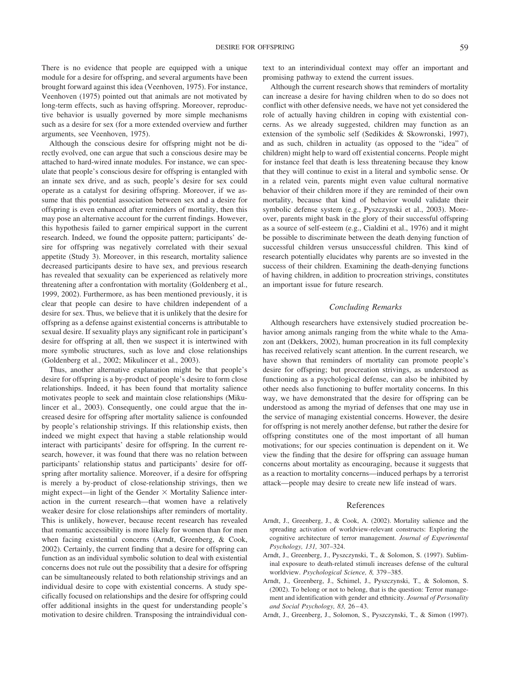There is no evidence that people are equipped with a unique module for a desire for offspring, and several arguments have been brought forward against this idea (Veenhoven, 1975). For instance, Veenhoven (1975) pointed out that animals are not motivated by long-term effects, such as having offspring. Moreover, reproductive behavior is usually governed by more simple mechanisms such as a desire for sex (for a more extended overview and further arguments, see Veenhoven, 1975).

Although the conscious desire for offspring might not be directly evolved, one can argue that such a conscious desire may be attached to hard-wired innate modules. For instance, we can speculate that people's conscious desire for offspring is entangled with an innate sex drive, and as such, people's desire for sex could operate as a catalyst for desiring offspring. Moreover, if we assume that this potential association between sex and a desire for offspring is even enhanced after reminders of mortality, then this may pose an alternative account for the current findings. However, this hypothesis failed to garner empirical support in the current research. Indeed, we found the opposite pattern; participants' desire for offspring was negatively correlated with their sexual appetite (Study 3). Moreover, in this research, mortality salience decreased participants desire to have sex, and previous research has revealed that sexuality can be experienced as relatively more threatening after a confrontation with mortality (Goldenberg et al., 1999, 2002). Furthermore, as has been mentioned previously, it is clear that people can desire to have children independent of a desire for sex. Thus, we believe that it is unlikely that the desire for offspring as a defense against existential concerns is attributable to sexual desire. If sexuality plays any significant role in participant's desire for offspring at all, then we suspect it is intertwined with more symbolic structures, such as love and close relationships (Goldenberg et al., 2002; Mikulincer et al., 2003).

Thus, another alternative explanation might be that people's desire for offspring is a by-product of people's desire to form close relationships. Indeed, it has been found that mortality salience motivates people to seek and maintain close relationships (Mikulincer et al., 2003). Consequently, one could argue that the increased desire for offspring after mortality salience is confounded by people's relationship strivings. If this relationship exists, then indeed we might expect that having a stable relationship would interact with participants' desire for offspring. In the current research, however, it was found that there was no relation between participants' relationship status and participants' desire for offspring after mortality salience. Moreover, if a desire for offspring is merely a by-product of close-relationship strivings, then we might expect—in light of the Gender  $\times$  Mortality Salience interaction in the current research—that women have a relatively weaker desire for close relationships after reminders of mortality. This is unlikely, however, because recent research has revealed that romantic accessibility is more likely for women than for men when facing existential concerns (Arndt, Greenberg, & Cook, 2002). Certainly, the current finding that a desire for offspring can function as an individual symbolic solution to deal with existential concerns does not rule out the possibility that a desire for offspring can be simultaneously related to both relationship strivings and an individual desire to cope with existential concerns. A study specifically focused on relationships and the desire for offspring could offer additional insights in the quest for understanding people's motivation to desire children. Transposing the intraindividual context to an interindividual context may offer an important and promising pathway to extend the current issues.

Although the current research shows that reminders of mortality can increase a desire for having children when to do so does not conflict with other defensive needs, we have not yet considered the role of actually having children in coping with existential concerns. As we already suggested, children may function as an extension of the symbolic self (Sedikides & Skowronski, 1997), and as such, children in actuality (as opposed to the "idea" of children) might help to ward off existential concerns. People might for instance feel that death is less threatening because they know that they will continue to exist in a literal and symbolic sense. Or in a related vein, parents might even value cultural normative behavior of their children more if they are reminded of their own mortality, because that kind of behavior would validate their symbolic defense system (e.g., Pyszczynski et al., 2003). Moreover, parents might bask in the glory of their successful offspring as a source of self-esteem (e.g., Cialdini et al., 1976) and it might be possible to discriminate between the death denying function of successful children versus unsuccessful children. This kind of research potentially elucidates why parents are so invested in the success of their children. Examining the death-denying functions of having children, in addition to procreation strivings, constitutes an important issue for future research.

#### *Concluding Remarks*

Although researchers have extensively studied procreation behavior among animals ranging from the white whale to the Amazon ant (Dekkers, 2002), human procreation in its full complexity has received relatively scant attention. In the current research, we have shown that reminders of mortality can promote people's desire for offspring; but procreation strivings, as understood as functioning as a psychological defense, can also be inhibited by other needs also functioning to buffer mortality concerns. In this way, we have demonstrated that the desire for offspring can be understood as among the myriad of defenses that one may use in the service of managing existential concerns. However, the desire for offspring is not merely another defense, but rather the desire for offspring constitutes one of the most important of all human motivations; for our species continuation is dependent on it. We view the finding that the desire for offspring can assuage human concerns about mortality as encouraging, because it suggests that as a reaction to mortality concerns—induced perhaps by a terrorist attack—people may desire to create new life instead of wars.

#### References

- Arndt, J., Greenberg, J., & Cook, A. (2002). Mortality salience and the spreading activation of worldview-relevant constructs: Exploring the cognitive architecture of terror management. *Journal of Experimental Psychology, 131,* 307–324.
- Arndt, J., Greenberg, J., Pyszczynski, T., & Solomon, S. (1997). Subliminal exposure to death-related stimuli increases defense of the cultural worldview. *Psychological Science, 8,* 379–385.
- Arndt, J., Greenberg, J., Schimel, J., Pyszczynski, T., & Solomon, S. (2002). To belong or not to belong, that is the question: Terror management and identification with gender and ethnicity. *Journal of Personality and Social Psychology, 83,* 26–43.
- Arndt, J., Greenberg, J., Solomon, S., Pyszczynski, T., & Simon (1997).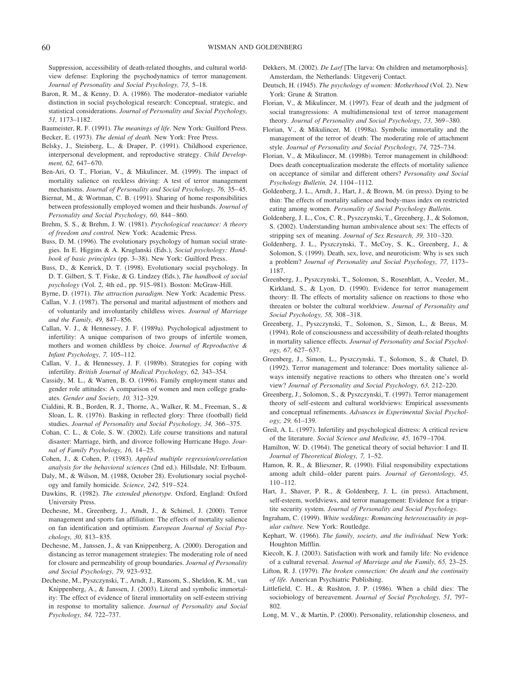Suppression, accessibility of death-related thoughts, and cultural worldview defense: Exploring the psychodynamics of terror management. *Journal of Personality and Social Psychology, 73,* 5–18.

- Baron, R. M., & Kenny, D. A. (1986). The moderator–mediator variable distinction in social psychological research: Conceptual, strategic, and statistical considerations. *Journal of Personality and Social Psychology, 51,* 1173–1182.
- Baumeister, R. F. (1991). *The meanings of life.* New York: Guilford Press.
- Becker, E. (1973). *The denial of death.* New York: Free Press.
- Belsky, J., Steinberg, L., & Draper, P. (1991). Childhood experience, interpersonal development, and reproductive strategy. *Child Development, 62,* 647–670.
- Ben-Ari, O. T., Florian, V., & Mikulincer, M. (1999). The impact of mortality salience on reckless driving: A test of terror management mechanisms. *Journal of Personality and Social Psychology, 76,* 35–45.
- Biernat, M., & Wortman, C. B. (1991). Sharing of home responsibilities between professionally employed women and their husbands. *Journal of Personality and Social Psychology, 60,* 844–860.
- Brehm, S. S., & Brehm, J. W. (1981). *Psychological reactance: A theory of freedom and control.* New York: Academic Press.
- Buss, D. M. (1996). The evolutionary psychology of human social strategies. In E. Higgins & A. Kruglanski (Eds.), *Social psychology: Handbook of basic principles* (pp. 3–38). New York: Guilford Press.
- Buss, D., & Kenrick, D. T. (1998). Evolutionary social psychology. In D. T. Gilbert, S. T. Fiske, & G. Lindzey (Eds.), *The handbook of social psychology* (Vol. 2, 4th ed., pp. 915–981). Boston: McGraw-Hill.
- Byrne, D. (1971). *The attraction paradigm.* New York: Academic Press.
- Callan, V. J. (1987). The personal and marital adjustment of mothers and of voluntarily and involuntarily childless wives. *Journal of Marriage and the Family, 49,* 847–856.
- Callan, V. J., & Hennessey, J. F. (1989a). Psychological adjustment to infertility: A unique comparison of two groups of infertile women, mothers and women childless by choice. *Journal of Reproductive & Infant Psychology, 7,* 105–112.
- Callan, V. J., & Hennessey, J. F. (1989b). Strategies for coping with infertility. *British Journal of Medical Psychology, 62,* 343–354.
- Cassidy, M. L., & Warren, B. O. (1996). Family employment status and gender role attitudes: A comparison of women and men college graduates. *Gender and Society, 10,* 312–329.
- Cialdini, R. B., Borden, R. J., Thorne, A., Walker, R. M., Freeman, S., & Sloan, L. R. (1976). Basking in reflected glory: Three (football) field studies. *Journal of Personality and Social Psychology, 34,* 366–375.
- Cohan, C. L., & Cole, S. W. (2002). Life course transitions and natural disaster: Marriage, birth, and divorce following Hurricane Hugo. *Journal of Family Psychology, 16,* 14–25.
- Cohen, J., & Cohen, P. (1983). *Applied multiple regression/correlation analysis for the behavioral sciences* (2nd ed.). Hillsdale, NJ: Erlbaum.
- Daly, M., & Wilson, M. (1988, October 28). Evolutionary social psychology and family homicide. *Science, 242,* 519–524.
- Dawkins, R. (1982). *The extended phenotype.* Oxford, England: Oxford University Press.
- Dechesne, M., Greenberg, J., Arndt, J., & Schimel, J. (2000). Terror management and sports fan affiliation: The effects of mortality salience on fan identification and optimism. *European Journal of Social Psychology, 30,* 813–835.
- Dechesne, M., Janssen, J., & van Knippenberg, A. (2000). Derogation and distancing as terror management strategies: The moderating role of need for closure and permeability of group boundaries. *Journal of Personality and Social Psychology, 79,* 923–932.
- Dechesne, M., Pyszczynski, T., Arndt, J., Ransom, S., Sheldon, K. M., van Knippenberg, A., & Janssen, J. (2003). Literal and symbolic immortality: The effect of evidence of literal immortality on self-esteem striving in response to mortality salience. *Journal of Personality and Social Psychology, 84,* 722–737.
- Dekkers, M. (2002). *De Larf* [The larva: On children and metamorphosis]. Amsterdam, the Netherlands: Uitgeverij Contact.
- Deutsch, H. (1945). *The psychology of women: Motherhood* (Vol. 2). New York: Grune & Stratton.
- Florian, V., & Mikulincer, M. (1997). Fear of death and the judgment of social transgressions: A multidimensional test of terror management theory. *Journal of Personality and Social Psychology, 73,* 369–380.
- Florian, V., & Mikulincer, M. (1998a). Symbolic immortality and the management of the terror of death: The moderating role of attachment style. *Journal of Personality and Social Psychology, 74,* 725–734.
- Florian, V., & Mikulincer, M. (1998b). Terror management in childhood: Does death conceptualization moderate the effects of mortality salience on acceptance of similar and different others? *Personality and Social Psychology Bulletin, 24,* 1104–1112.
- Goldenberg, J. L., Arndt, J., Hart, J., & Brown, M. (in press). Dying to be thin: The effects of mortality salience and body-mass index on restricted eating among women. *Personality of Social Psychology Bulletin.*
- Goldenberg, J. L., Cox, C. R., Pyszczynski, T., Greenberg, J., & Solomon, S. (2002). Understanding human ambivalence about sex: The effects of stripping sex of meaning. *Journal of Sex Research, 39,* 310–320.
- Goldenberg, J. L., Pyszczynski, T., McCoy, S. K., Greenberg, J., & Solomon, S. (1999). Death, sex, love, and neuroticism: Why is sex such a problem? *Journal of Personality and Social Psychology, 77,* 1173– 1187.
- Greenberg, J., Pyszczynski, T., Solomon, S., Rosenblatt, A., Veeder, M., Kirkland, S., & Lyon, D. (1990). Evidence for terror management theory: II. The effects of mortality salience on reactions to those who threaten or bolster the cultural worldview. *Journal of Personality and Social Psychology, 58,* 308–318.
- Greenberg, J., Pyszczynski, T., Solomon, S., Simon, L., & Breus, M. (1994). Role of consciousness and accessibility of death-related thoughts in mortality salience effects. *Journal of Personality and Social Psychology, 67,* 627–637.
- Greenberg, J., Simon, L., Pyszczynski, T., Solomon, S., & Chatel, D. (1992). Terror management and tolerance: Does mortality salience always intensify negative reactions to others who threaten one's world view? *Journal of Personality and Social Psychology, 63,* 212–220.
- Greenberg, J., Solomon, S., & Pyszczynski, T. (1997). Terror management theory of self-esteem and cultural worldviews: Empirical assessments and conceptual refinements. *Advances in Experimental Social Psychology, 29,* 61–139.
- Greil, A. L. (1997). Infertility and psychological distress: A critical review of the literature. *Social Science and Medicine, 45,* 1679–1704.
- Hamilton, W. D. (1964). The genetical theory of social behavior: I and II. *Journal of Theoretical Biology, 7,* 1–52.
- Hamon, R. R., & Blieszner, R. (1990). Filial responsibility expectations among adult child–older parent pairs. *Journal of Gerontology, 45,* 110–112.
- Hart, J., Shaver, P. R., & Goldenberg, J. L. (in press). Attachment, self-esteem, worldviews, and terror management: Evidence for a tripartite security system. *Journal of Personality and Social Psychology.*
- Ingraham, C. (1999). *White weddings: Romancing heterosexuality in popular culture.* New York: Routledge.
- Kephart, W. (1966). *The family, society, and the individual.* New York: Houghton Mifflin.
- Kiecolt, K. J. (2003). Satisfaction with work and family life: No evidence of a cultural reversal. *Journal of Marriage and the Family, 65,* 23–25.
- Lifton, R. J. (1979). *The broken connection: On death and the continuity of life.* American Psychiatric Publishing.
- Littlefield, C. H., & Rushton, J. P. (1986). When a child dies: The sociobiology of bereavement. *Journal of Social Psychology, 51,* 797– 802.
- Long, M. V., & Martin, P. (2000). Personality, relationship closeness, and